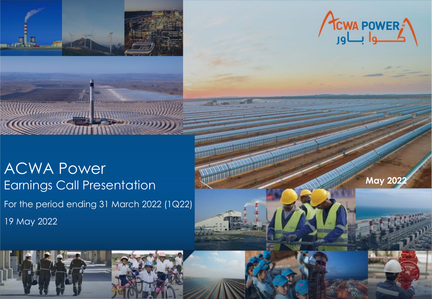

**C. Harman** 



**May 202** 

 $\mathcal{A}$ ACWA Power Earnings Call Presentation For the period ending 31 March 2022 (1Q22) 19 May 2022

**MARKHOONE**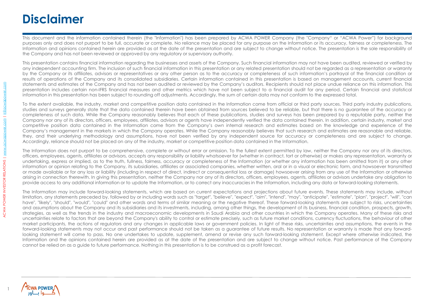### **Disclaimer**

This document and the information contained therein (the "Information") has been prepared by ACWA POWER Company (the "Company" or "ACWA Power") for background purposes only and does not purport to be full, accurate or complete. No reliance may be placed for any purpose on the Information or its accuracy, fairness or completeness. The Information and opinions contained herein are provided as at the date of the presentation and are subject to change without notice. The presentation is the sole responsibility of the Company and has not been reviewed or approved by any regulatory or supervisory authority.

This presentation contains financial information regarding the businesses and assets of the Company. Such financial information may not have been audited, reviewed or verified by any independent accounting firm. The inclusion of such financial information in this presentation or any related presentation should not be regarded as a representation or warranty by the Company or its affiliates, advisors or representatives or any other person as to the accuracy or completeness of such information's portrayal of the financial condition or results of operations of the Company and its consolidated subsidiaries. Certain information contained in this presentation is based on management accounts, current financial statements and estimates of the Company and has not been audited or reviewed by the Company's auditors. Recipients should not place undue reliance on this information. This presentation includes certain non-IFRS financial measures and other metrics which have not been subject to a financial audit for any period. Certain financial and statistical information in this presentation has been subject to rounding off adjustments. Accordingly, the sum of certain data may not conform to the expressed total.

To the extent available, the industry, market and competitive position data contained in the Information come from official or third party sources. Third party industry publications, studies and surveys generally state that the data contained therein have been obtained from sources believed to be reliable, but that there is no guarantee of the accuracy or completeness of such data. While the Company reasonably believes that each of these publications, studies and surveys has been prepared by a reputable party, neither the Company nor any of its directors, officers, employees, affiliates, advisors or agents have independently verified the data contained therein. In addition, certain industry, market and competitive position data contained in the Information come from the Company's own internal research and estimates based on the knowledge and experience of the Company's management in the markets in which the Company operates. While the Company reasonably believes that such research and estimates are reasonable and reliable, they, and their underlying methodology and assumptions, have not been verified by any independent source for accuracy or completeness and are subject to change. Accordingly, reliance should not be placed on any of the industry, market or competitive position data contained in the Information.

The Information does not purport to be comprehensive, complete or without error or omission. To the fullest extent permitted by law, neither the Company nor any of its directors, officers, employees, agents, affiliates or advisors, accepts any responsibility or liability whatsoever for (whether in contract, tort or otherwise) or makes any representation, warranty or undertaking, express or implied, as to the truth, fullness, fairness, accuracy or completeness of the Information (or whether any information has been omitted from it) or any other information or opinion relating to the Company, its subsidiaries, affiliates or associated companies, whether written, oral or in a visual or electronic form, and howsoever transmitted or made available or for any loss or liability (including in respect of direct, indirect or consequential loss or damage) howsoever arising from any use of the Information or otherwise arising in connection therewith. In giving this presentation, neither the Company nor any of its directors, officers, employees, agents, affiliates or advisors undertake any obligation to provide access to any additional information or to update the Information, or to correct any inaccuracies in the Information, including any data or forward-looking statements.

The Information may include forward-looking statements, which are based on current expectations and projections about future events. These statements may include, without limitation, any statements preceded by, followed by or including words such as "target", "believe", "expect", "aim", "intend", "may", "anticipate", "estimate", "plan", "project", "will", "can have", "likely", "should", "would", "could" and other words and terms of similar meaning or the negative thereof. These forward-looking statements are subject to risks, uncertainties and assumptions about the Company and its subsidiaries and its investments, including, among other things, the development of its business, financial condition, prospects, growth, strategies, as well as the trends in the industry and macroeconomic developments in Saudi Arabia and other countries in which the Company operates. Many of these risks and uncertainties relate to factors that are beyond the Company's ability to control or estimate precisely, such as future market conditions, currency fluctuations, the behaviour of other market participants, the actions of regulators and any changes in applicable laws or government policies. In light of these risks, uncertainties and assumptions, the events in the forward-looking statements may not occur and past performance should not be taken as a guarantee of future results. No representation or warranty is made that any forwardlooking statement will come to pass. No one undertakes to update, supplement, amend or revise any such forward-looking statement. Except where otherwise indicated, the Information and the opinions contained herein are provided as at the date of the presentation and are subject to change without notice. Past performance of the Company cannot be relied on as a guide to future performance. Nothing in this presentation is to be construed as a profit forecast.

1

ACWA POWER INVESTOR RELATIONS | [www.acwapower.com](http://www.acwapower.com/) | [ir@acwapower.com](mailto:ir@acwapower.com)

ACWA POWER INVESTOR RELATIONS | www.acwapower.com | jr@acwapower.com

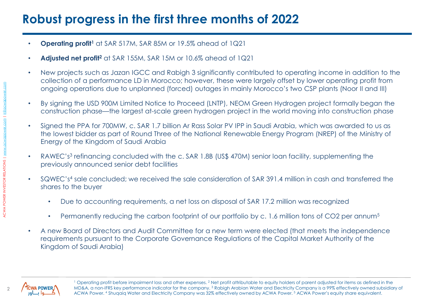# **Robust progress in the first three months of 2022**

- **Operating profit1** at SAR 517M, SAR 85M or 19.5% ahead of 1Q21
- **Adjusted net profit2** at SAR 155M, SAR 15M or 10.6% ahead of 1Q21
- New projects such as Jazan IGCC and Rabigh 3 significantly contributed to operating income in addition to the collection of a performance LD in Morocco; however, these were largely offset by lower operating profit from ongoing operations due to unplanned (forced) outages in mainly Morocco's two CSP plants (Noor II and III)
- By signing the USD 900M Limited Notice to Proceed (LNTP), NEOM Green Hydrogen project formally began the construction phase—the largest at-scale green hydrogen project in the world moving into construction phase
- Signed the PPA for 700MW, c. SAR 1.7 billion Ar Rass Solar PV IPP in Saudi Arabia, which was awarded to us as the lowest bidder as part of Round Three of the National Renewable Energy Program (NREP) of the Ministry of Energy of the Kingdom of Saudi Arabia
- RAWEC's<sup>3</sup> refinancing concluded with the c. SAR 1.8B (US\$ 470M) senior loan facility, supplementing the previously announced senior debt facilities
- SQWEC's4 sale concluded; we received the sale consideration of SAR 391.4 million in cash and transferred the shares to the buyer
	- Due to accounting requirements, a net loss on disposal of SAR 17.2 million was recognized
	- Permanently reducing the carbon footprint of our portfolio by c. 1.6 million tons of CO2 per annum<sup>5</sup>
- A new Board of Directors and Audit Committee for a new term were elected (that meets the independence requirements pursuant to the Corporate Governance Regulations of the Capital Market Authority of the Kingdom of Saudi Arabia)



<sup>1</sup> Operating profit before impairment loss and other expenses. <sup>2</sup> Net profit attributable to equity holders of parent adjusted for items as defined in the MD&A, a non-IFRS key performance indicator for the company. 3 Rabigh Arabian Water and Electricity Company is a 99% effectively owned subsidiary of ACWA Power. 4 Shuqaiq Water and Electricity Company was 32% effectively owned by ACWA Power. 5 ACWA Power's equity share equivalent.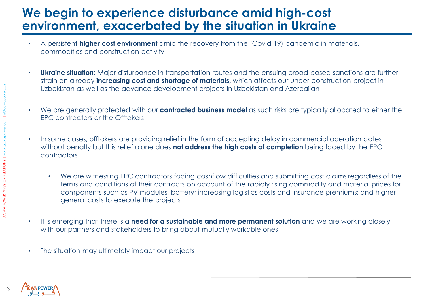#### **We begin to experience disturbance amid high-cost environment, exacerbated by the situation in Ukraine**

- A persistent **higher cost environment** amid the recovery from the (Covid-19) pandemic in materials, commodities and construction activity
- **Ukraine situation:** Major disturbance in transportation routes and the ensuing broad-based sanctions are further strain on already **increasing cost and shortage of materials,** which affects our under-construction project in Uzbekistan as well as the advance development projects in Uzbekistan and Azerbaijan
- We are generally protected with our **contracted business model** as such risks are typically allocated to either the EPC contractors or the Offtakers
- In some cases, offtakers are providing relief in the form of accepting delay in commercial operation dates without penalty but this relief alone does **not address the high costs of completion** being faced by the EPC contractors
	- We are witnessing EPC contractors facing cashflow difficulties and submitting cost claims regardless of the terms and conditions of their contracts on account of the rapidly rising commodity and material prices for components such as PV modules, battery; increasing logistics costs and insurance premiums; and higher general costs to execute the projects
- It is emerging that there is a **need for a sustainable and more permanent solution** and we are working closely with our partners and stakeholders to bring about mutually workable ones
- The situation may ultimately impact our projects

ACWA POWER INVESTOR RELATIONS | [www.acwapower.com](http://www.acwapower.com/) | [ir@acwapower.com](mailto:ir@acwapower.com)

**ACWA POWER INVESTOR RELATIONS | WW** 

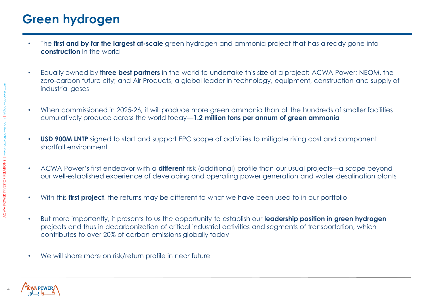## **Green hydrogen**

- The **first and by far the largest at-scale** green hydrogen and ammonia project that has already gone into **construction** in the world
- Equally owned by **three best partners** in the world to undertake this size of a project: ACWA Power; NEOM, the zero-carbon future city; and Air Products, a global leader in technology, equipment, construction and supply of industrial gases
- When commissioned in 2025-26, it will produce more green ammonia than all the hundreds of smaller facilities cumulatively produce across the world today—**1.2 million tons per annum of green ammonia**
- **USD 900M LNTP** signed to start and support EPC scope of activities to mitigate rising cost and component shortfall environment
- ACWA Power's first endeavor with a **different** risk (additional) profile than our usual projects—a scope beyond our well-established experience of developing and operating power generation and water desalination plants
- With this **first project**, the returns may be different to what we have been used to in our portfolio
- But more importantly, it presents to us the opportunity to establish our **leadership position in green hydrogen**  projects and thus in decarbonization of critical industrial activities and segments of transportation, which contributes to over 20% of carbon emissions globally today
- We will share more on risk/return profile in near future

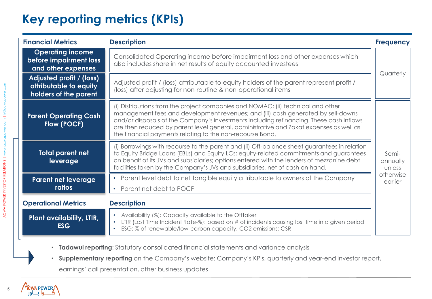# **Key reporting metrics (KPIs)**

| <b>Financial Metrics</b>                                                    | <b>Description</b>                                                                                                                                                                                                                                                                                                                                                                                                     | <b>Frequency</b>                                    |
|-----------------------------------------------------------------------------|------------------------------------------------------------------------------------------------------------------------------------------------------------------------------------------------------------------------------------------------------------------------------------------------------------------------------------------------------------------------------------------------------------------------|-----------------------------------------------------|
| <b>Operating income</b><br>before impairment loss<br>and other expenses     | Consolidated Operating income before impairment loss and other expenses which<br>also includes share in net results of equity accounted investees                                                                                                                                                                                                                                                                      | Quarterly                                           |
| Adjusted profit / (loss)<br>attributable to equity<br>holders of the parent | Adjusted profit / (loss) attributable to equity holders of the parent represent profit /<br>(loss) after adjusting for non-routine & non-operational items                                                                                                                                                                                                                                                             |                                                     |
| <b>Parent Operating Cash</b><br>Flow (POCF)                                 | (i) Distributions from the project companies and NOMAC; (ii) technical and other<br>management fees and development revenues; and (iii) cash generated by sell-downs<br>and/or disposals of the Company's investments including refinancing. These cash inflows<br>are then reduced by parent level general, administrative and Zakat expenses as well as<br>the financial payments relating to the non-recourse Bond. | Semi-<br>annually<br>unless<br>otherwise<br>earlier |
| <b>Total parent net</b><br>leverage                                         | (i) Borrowings with recourse to the parent and (ii) Off-balance sheet guarantees in relation<br>to Equity Bridge Loans (EBLs) and Equity LCs; equity-related commitments and guarantees<br>on behalf of its JVs and subsidiaries; options entered with the lenders of mezzanine debt<br>facilities taken by the Company's JVs and subsidiaries, net of cash on hand.                                                   |                                                     |
| <b>Parent net leverage</b><br>ratios                                        | Parent level debt to net tangible equity attributable to owners of the Company                                                                                                                                                                                                                                                                                                                                         |                                                     |
| <b>Operational Metrics</b>                                                  | Parent net debt to POCF<br>$\bullet$<br><b>Description</b>                                                                                                                                                                                                                                                                                                                                                             |                                                     |
| <b>Plant availability, LTIR,</b><br><b>ESG</b>                              | • Availability (%): Capacity available to the Offtaker<br>LTIR (Lost Time Incident Rate-%): based on # of incidents causing lost time in a given period<br>ESG: % of renewable/low-carbon capacity; CO2 emissions; CSR                                                                                                                                                                                                 |                                                     |

• **Tadawul reporting**: Statutory consolidated financial statements and variance analysis

• **Supplementary reporting** on the Company's website: Company's KPIs, quarterly and year-end investor report,

earnings' call presentation, other business updates

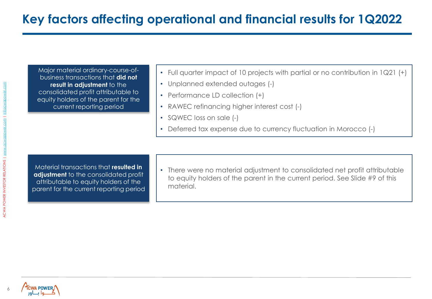Major material ordinary-course-ofbusiness transactions that **did not result in adjustment** to the consolidated profit attributable to equity holders of the parent for the current reporting period

- Full quarter impact of 10 projects with partial or no contribution in 1Q21 (+)
- Unplanned extended outages (-)
- Performance LD collection (+)
- RAWEC refinancing higher interest cost (-)
- SQWEC loss on sale (-)
- Deferred tax expense due to currency fluctuation in Morocco (-)

Material transactions that **resulted in adjustment** to the consolidated profit attributable to equity holders of the parent for the current reporting period

• There were no material adjustment to consolidated net profit attributable to equity holders of the parent in the current period. See Slide #9 of this material.

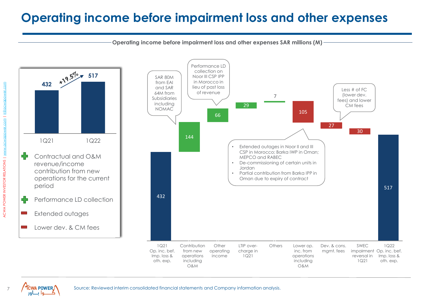### **Operating income before impairment loss and other expenses**

**Operating income before impairment loss and other expenses SAR millions (M)**





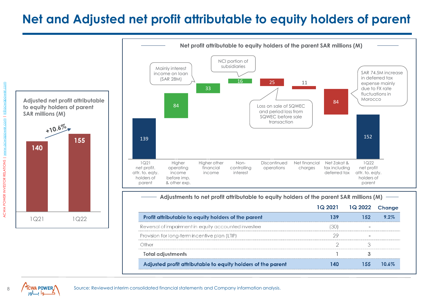### **Net and Adjusted net profit attributable to equity holders of parent**



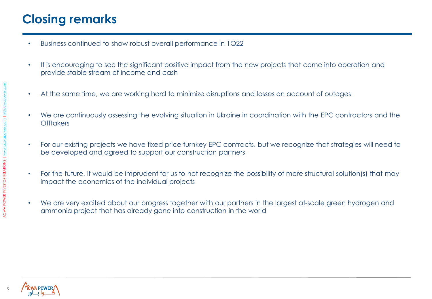# **Closing remarks**

- Business continued to show robust overall performance in 1Q22
- It is encouraging to see the significant positive impact from the new projects that come into operation and provide stable stream of income and cash
- At the same time, we are working hard to minimize disruptions and losses on account of outages
- We are continuously assessing the evolving situation in Ukraine in coordination with the EPC contractors and the **Offtakers**
- For our existing projects we have fixed price turnkey EPC contracts, but we recognize that strategies will need to be developed and agreed to support our construction partners
- For the future, it would be imprudent for us to not recognize the possibility of more structural solution(s) that may impact the economics of the individual projects
- We are very excited about our progress together with our partners in the largest at-scale green hydrogen and ammonia project that has already gone into construction in the world